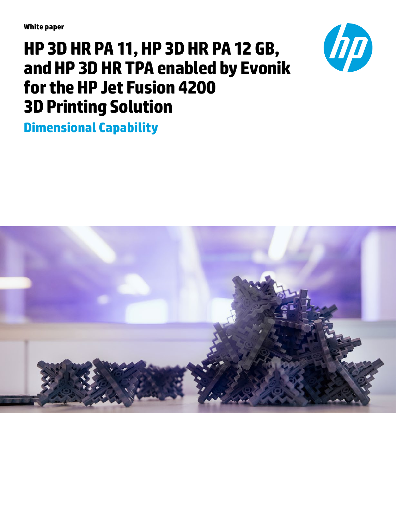**White paper**

# **HP 3D HR PA 11, HP 3D HR PA 12 GB, and HP 3D HR TPA enabled by Evonik for the HP Jet Fusion 4200 3D Printing Solution**

**Dimensional Capability**



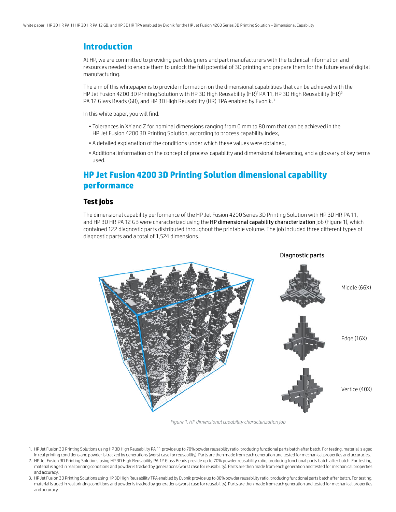#### **Introduction**

At HP, we are committed to providing part designers and part manufacturers with the technical information and resources needed to enable them to unlock the full potential of 3D printing and prepare them for the future era of digital manufacturing.

The aim of this whitepaper is to provide information on the dimensional capabilities that can be achieved with the HP Jet Fusion 4200 3D Printing Solution with HP 3D High Reusability (HR)<sup>1</sup> PA 11, HP 3D High Reusability (HR)<sup>2</sup> PA 12 Glass Beads (GB), and HP 3D High Reusability (HR) TPA enabled by Evonik.<sup>3</sup>

In this white paper, you will find:

- Tolerances in XY and Z for nominal dimensions ranging from 0 mm to 80 mm that can be achieved in the HP Jet Fusion 4200 3D Printing Solution, according to process capability index,
- A detailed explanation of the conditions under which these values were obtained,
- Additional information on the concept of process capability and dimensional tolerancing, and a glossary of key terms used.

## **HP Jet Fusion 4200 3D Printing Solution dimensional capability performance**

#### **Test jobs**

The dimensional capability performance of the HP Jet Fusion 4200 Series 3D Printing Solution with HP 3D HR PA 11, and HP 3D HR PA 12 GB were characterized using the HP dimensional capability characterization job (Figure 1), which contained 122 diagnostic parts distributed throughout the printable volume. The job included three different types of diagnostic parts and a total of 1,524 dimensions.



*Figure 1. HP dimensional capability characterization job*

<sup>1.</sup> HP Jet Fusion 3D Printing Solutions using HP 3D High Reusability PA 11 provide up to 70% powder reusability ratio, producing functional parts batch after batch. For testing, material is aged in real printing conditions and powder is tracked by generations (worst case for reusability). Parts are then made from each generation and tested for mechanical properties and accuracies.

<sup>2.</sup> HP Jet Fusion 3D Printing Solutions using HP 3D High Reusability PA 12 Glass Beads provide up to 70% powder reusability ratio, producing functional parts batch after batch. For testing, material is aged in real printing conditions and powder is tracked by generations (worst case for reusability). Parts are then made from each generation and tested for mechanical properties and accuracy.

<sup>3.</sup> HP Jet Fusion 3D Printing Solutions using HP 3D High Reusability TPA enabled by Evonik provide up to 80% powder reusability ratio, producing functional parts batch after batch. For testing, material is aged in real printing conditions and powder is tracked by generations (worst case for reusability). Parts are then made from each generation and tested for mechanical properties and accuracy.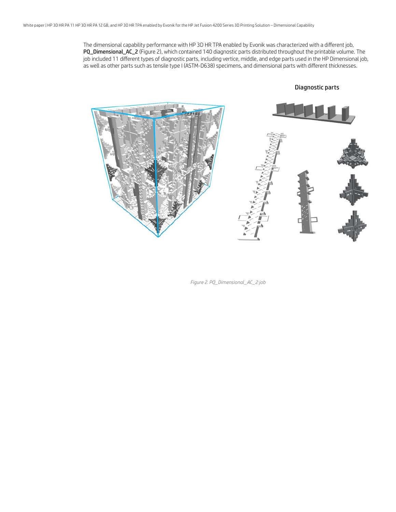The dimensional capability performance with HP 3D HR TPA enabled by Evonik was characterized with a different job, PQ\_Dimensional\_AC\_2 (Figure 2), which contained 140 diagnostic parts distributed throughout the printable volume. The job included 11 different types of diagnostic parts, including vertice, middle, and edge parts used in the HP Dimensional job, as well as other parts such as tensile type I (ASTM-D638) specimens, and dimensional parts with different thicknesses.

Diagnostic parts

*Figure 2. PQ\_Dimensional\_AC\_2 job*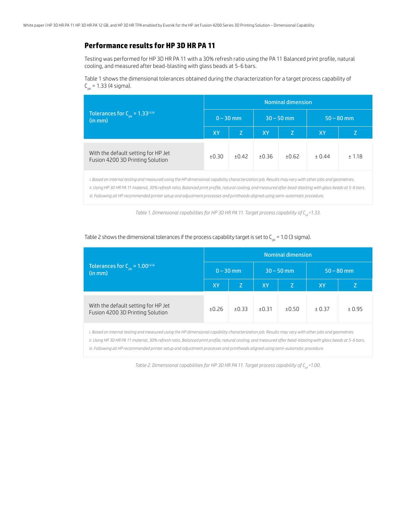#### **Performance results for HP 3D HR PA 11**

Testing was performed for HP 3D HR PA 11 with a 30% refresh ratio using the PA 11 Balanced print profile, natural cooling, and measured after bead-blasting with glass beads at 5-6 bars.

Table 1 shows the dimensional tolerances obtained during the characterization for a target process capability of  $C_{\text{obs}} = 1.33$  (4 sigma).

|                                                                         | <b>Nominal dimension</b> |         |           |              |              |        |  |  |  |  |  |  |
|-------------------------------------------------------------------------|--------------------------|---------|-----------|--------------|--------------|--------|--|--|--|--|--|--|
| Tolerances for $C_{\text{pk}} = 1.33^{\text{ii iii}}$<br>(in mm)        | $0 - 30$ mm              |         |           | $30 - 50$ mm | $50 - 80$ mm |        |  |  |  |  |  |  |
|                                                                         | <b>XY</b>                | Z       | <b>XY</b> | Z            | XY           |        |  |  |  |  |  |  |
| With the default setting for HP Jet<br>Fusion 4200 3D Printing Solution | ±0.30                    | $+0.42$ | ±0.36     | ±0.62        | ± 0.44       | ± 1.18 |  |  |  |  |  |  |

*i. Based on internal testing and measured using the HP dimensional capability characterization job. Results may vary with other jobs and geometries. ii. Using HP 3D HR PA 11 material, 30% refresh ratio, Balanced print profile, natural cooling, and measured after bead-blasting with glass beads at 5-6 bars. iii. Following all HP recommended printer setup and adjustment processes and printheads aligned using semi-automatic procedure.*

*Table 1. Dimensional capabilities for HP 3D HR PA 11. Target process capability of C<sub>pk</sub>=1.33.* 

|                                                                                                                                                      | <b>Nominal dimension</b> |             |       |              |              |        |  |  |  |  |  |
|------------------------------------------------------------------------------------------------------------------------------------------------------|--------------------------|-------------|-------|--------------|--------------|--------|--|--|--|--|--|
| Tolerances for $C_{nk} = 1.00^{\text{ii}}$<br>(in mm)                                                                                                |                          | $0 - 30$ mm |       | $30 - 50$ mm | $50 - 80$ mm |        |  |  |  |  |  |
|                                                                                                                                                      | <b>XY</b>                | Z           | XY    | Z            | XY.          |        |  |  |  |  |  |
| With the default setting for HP Jet<br>Fusion 4200 3D Printing Solution                                                                              | ±0.26                    | ±0.33       | ±0.31 | ±0.50        | ± 0.37       | ± 0.95 |  |  |  |  |  |
| i. Based on internal testing and measured using the HP dimensional capability characterization job. Results may vary with other jobs and geometries. |                          |             |       |              |              |        |  |  |  |  |  |

#### Table 2 shows the dimensional tolerances if the process capability target is set to  $C_{nk}$  = 1.0 (3 sigma).

*ii. Using HP 3D HR PA 11 material, 30% refresh ratio, Balanced print profile, natural cooling, and measured after bead-blasting with glass beads at 5-6 bars. iii. Following all HP recommended printer setup and adjustment processes and printheads aligned using semi-automatic procedure.*

*Table 2. Dimensional capabilities for HP 3D HR PA 11. Target process capability of C<sub>pk</sub>=1.00.*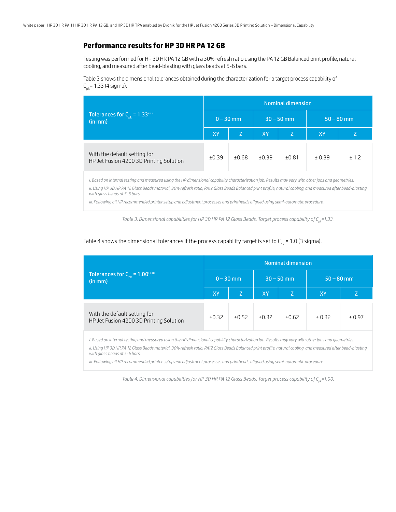#### **Performance results for HP 3D HR PA 12 GB**

Testing was performed for HP 3D HR PA 12 GB with a 30% refresh ratio using the PA 12 GB Balanced print profile, natural cooling, and measured after bead-blasting with glass beads at 5-6 bars.

Table 3 shows the dimensional tolerances obtained during the characterization for a target process capability of  $C_{\text{ab}}$ = 1.33 (4 sigma).

|                                                                         | <b>Nominal dimension</b> |       |                |              |              |       |  |  |  |  |  |  |
|-------------------------------------------------------------------------|--------------------------|-------|----------------|--------------|--------------|-------|--|--|--|--|--|--|
| Tolerances for $C_{pk} = 1.33^{\text{ii iii}}$<br>(in mm)               | $0 - 30$ mm              |       |                | $30 - 50$ mm | $50 - 80$ mm |       |  |  |  |  |  |  |
|                                                                         | XY                       | Z     | <b>XY</b><br>Z |              | XY           |       |  |  |  |  |  |  |
| With the default setting for<br>HP Jet Fusion 4200 3D Printing Solution | ±0.39                    | ±0.68 | ±0.39          | ±0.81        | ± 0.39       | ± 1.2 |  |  |  |  |  |  |

*i. Based on internal testing and measured using the HP dimensional capability characterization job. Results may vary with other jobs and geometries.*

*ii. Using HP 3D HR PA 12 Glass Beads material, 30% refresh ratio, PA12 Glass Beads Balanced print profile, natural cooling, and measured after bead-blasting with glass beads at 5-6 bars.*

*iii. Following all HP recommended printer setup and adjustment processes and printheads aligned using semi-automatic procedure.*

*Table 3. Dimensional capabilities for HP 3D HR PA 12 Glass Beads. Target process capability of C<sub>pk</sub>=1.33.* 

| Table 4 shows the dimensional tolerances if the process capability target is set to $C_{\alpha k}$ = 1.0 (3 sigma). |  |  |  |
|---------------------------------------------------------------------------------------------------------------------|--|--|--|
|---------------------------------------------------------------------------------------------------------------------|--|--|--|

|                                                                         | <b>Nominal dimension</b> |       |                 |              |              |        |  |  |  |  |  |
|-------------------------------------------------------------------------|--------------------------|-------|-----------------|--------------|--------------|--------|--|--|--|--|--|
| Tolerances for $C_{pk} = 1.00^{\text{ii iii}}$<br>(in mm)               | $0 - 30$ mm              |       |                 | $30 - 50$ mm | $50 - 80$ mm |        |  |  |  |  |  |
|                                                                         | <b>XY</b>                | Z     | <b>XY</b><br>Z. |              | <b>ΧΥ</b>    | Z.     |  |  |  |  |  |
| With the default setting for<br>HP Jet Fusion 4200 3D Printing Solution | ±0.32                    | ±0.52 | ±0.32           | ±0.62        | ± 0.32       | ± 0.97 |  |  |  |  |  |

*i. Based on internal testing and measured using the HP dimensional capability characterization job. Results may vary with other jobs and geometries.*

*ii. Using HP 3D HR PA 12 Glass Beads material, 30% refresh ratio, PA12 Glass Beads Balanced print profile, natural cooling, and measured after bead-blasting with glass beads at 5-6 bars.* 

*iii. Following all HP recommended printer setup and adjustment processes and printheads aligned using semi-automatic procedure.*

*Table 4. Dimensional capabilities for HP 3D HR PA 12 Glass Beads. Target process capability of C<sub>ne</sub>=1.00.*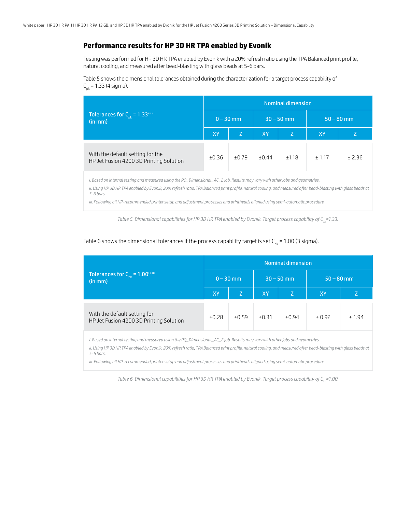### **Performance results for HP 3D HR TPA enabled by Evonik**

Testing was performed for HP 3D HR TPA enabled by Evonik with a 20% refresh ratio using the TPA Balanced print profile, natural cooling, and measured after bead-blasting with glass beads at 5-6 bars.

Table 5 shows the dimensional tolerances obtained during the characterization for a target process capability of  $C_{\text{obs}} = 1.33$  (4 sigma).

|                                                                             | <b>Nominal dimension</b> |             |          |              |              |         |  |  |  |  |  |  |
|-----------------------------------------------------------------------------|--------------------------|-------------|----------|--------------|--------------|---------|--|--|--|--|--|--|
| Tolerances for $C_{pk} = 1.33^{\text{ii iii}}$<br>(in mm)                   |                          | $0 - 30$ mm |          | $30 - 50$ mm | $50 - 80$ mm |         |  |  |  |  |  |  |
|                                                                             | XY                       | Z           | XY<br>Z. |              | XY           |         |  |  |  |  |  |  |
| With the default setting for the<br>HP Jet Fusion 4200 3D Printing Solution | ±0.36                    | ±0.79       | ±0.44    | ±1.18        | ± 1.17       | $+2.36$ |  |  |  |  |  |  |

*i. Based on internal testing and measured using the PQ\_Dimensional\_AC\_2 job. Results may vary with other jobs and geometries.*

*ii. Using HP 3D HR TPA enabled by Evonik, 20% refresh ratio, TPA Balanced print profile, natural cooling, and measured after bead-blasting with glass beads at 5-6 bars.*

*iii. Following all HP-recommended printer setup and adjustment processes and printheads aligned using semi-automatic procedure.*

*Table 5. Dimensional capabilities for HP 3D HR TPA enabled by Evonik. Target process capability of C<sub>nk</sub>=1.33.* 

Table 6 shows the dimensional tolerances if the process capability target is set  $C_{pk}$  = 1.00 (3 sigma).

|                                                                         | <b>Nominal dimension</b> |       |                 |              |              |         |  |  |  |  |  |
|-------------------------------------------------------------------------|--------------------------|-------|-----------------|--------------|--------------|---------|--|--|--|--|--|
| Tolerances for $C_{pk} = 1.00^{\text{ii iii}}$<br>(in mm)               | $0 - 30$ mm              |       |                 | $30 - 50$ mm | $50 - 80$ mm |         |  |  |  |  |  |
|                                                                         | <b>XY</b>                | Z     | <b>XY</b><br>Z. |              | <b>XY</b>    | Z       |  |  |  |  |  |
| With the default setting for<br>HP Jet Fusion 4200 3D Printing Solution | ±0.28                    | ±0.59 | ±0.31           | ±0.94        | ± 0.92       | $+1.94$ |  |  |  |  |  |

*i. Based on internal testing and measured using the PQ\_Dimensional\_AC\_2 job. Results may vary with other jobs and geometries.*

*ii. Using HP 3D HR TPA enabled by Evonik, 20% refresh ratio, TPA Balanced print profile, natural cooling, and measured after bead-blasting with glass beads at 5-6 bars.*

*iii. Following all HP-recommended printer setup and adjustment processes and printheads aligned using semi-automatic procedure.*

*Table 6. Dimensional capabilities for HP 3D HR TPA enabled by Evonik. Target process capability of C<sub>ne</sub>=1.00.*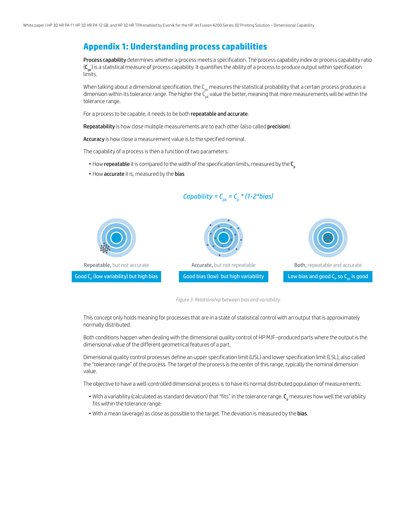## **Appendix 1: Understanding process capabilities**

Process capability determines whether a process meets a specification. The process capability index or process capability ratio  $(C_{nk})$  is a statistical measure of process capability. It quantifies the ability of a process to produce output within specification limits.

When talking about a dimensional specification, the  $C_{pk}$  measures the statistical probability that a certain process produces a dimension within its tolerance range. The higher the  $C_{nk}^k$  value the better, meaning that more measurements will be within the tolerance range.

For a process to be capable, it needs to be both repeatable and accurate.

Repeatability is how close multiple measurements are to each other (also called precision).

Accuracy is how close a measurement value is to the specified nominal.

The capability of a process is then a function of two parameters:

- $\bullet$  How repeatable it is compared to the width of the specification limits, measured by the  $C_{p}$
- How accurate it is, measured by the bias



*Capability =*  $C_{pk} = C_p * (1 - 2 * bias)$ 

*Figure 3. Relationship between bias and variability*

This concept only holds meaning for processes that are in a state of statistical control with an output that is approximately normally distributed.

Both conditions happen when dealing with the dimensional quality control of HP MJF–produced parts where the output is the dimensional value of the different geometrical features of a part.

Dimensional quality control processes define an upper specification limit (USL) and lower specification limit (LSL), also called the "tolerance range" of the process. The target of the process is the center of this range, typically the nominal dimension value.

The objective to have a well-controlled dimensional process is to have its normal distributed population of measurements:

- $\bullet$  With a variability (calculated as standard deviation) that "fits" in the tolerance range.  ${\sf C_p}$  measures how well the variability fits within the tolerance range.
- With a mean (average) as close as possible to the target. The deviation is measured by the bias.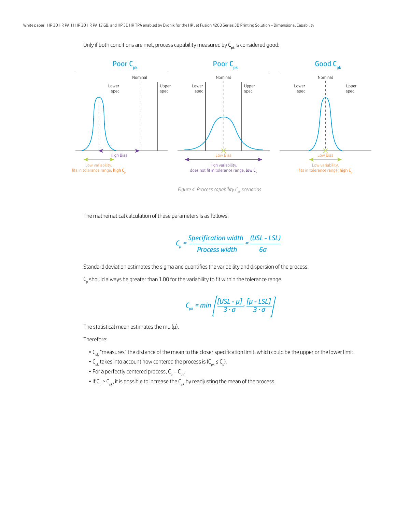Only if both conditions are met, process capability measured by  $C_{pk}$  is considered good:



*Figure 4. Process capability C<sub>pk</sub> scenarios* 

The mathematical calculation of these parameters is as follows:

$$
C_p = \frac{\text{Specification width}}{\text{Process width}} = \frac{\text{(USL - LSL)}}{6\sigma}
$$

Standard deviation estimates the sigma and quantifies the variability and dispersion of the process.

 $\mathsf{C}_\mathsf{p}$  should always be greater than 1.00 for the variability to fit within the tolerance range.

$$
C_{pk} = min\left\{\frac{[USL - \mu J]}{3 \cdot \sigma}, \frac{[\mu - LSL]}{3 \cdot \sigma}\right\}
$$

The statistical mean estimates the mu  $(\mu)$ .

Therefore:

- C<sub>pk</sub> "measures" the distance of the mean to the closer specification limit, which could be the upper or the lower limit.
- $C_{\rm pk}$  takes into account how centered the process is ( $C_{\rm pk} \le C_{\rm pb}$ ).
- For a perfectly centered process,  $C_p = C_{pk}$ .
- $\bullet$  If C<sub>p</sub> > C<sub>pk</sub>, it is possible to increase the C<sub>pk</sub> by readjusting the mean of the process.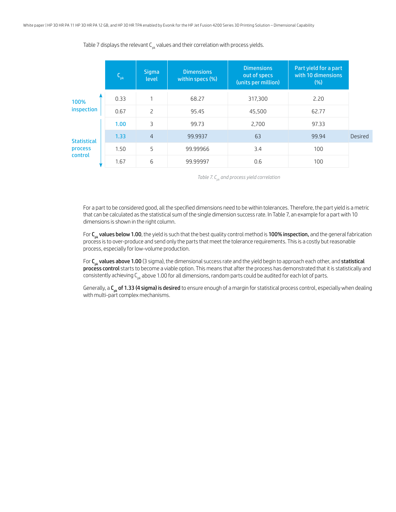Table 7 displays the relevant  $C_{nk}$  values and their correlation with process yields.

|                                      | $C_{pk}$  | <b>Sigma</b><br>level | <b>Dimensions</b><br>within specs (%) | <b>Dimensions</b><br>out of specs<br>(units per million) | Part yield for a part<br>with 10 dimensions<br>$(\%)$ |         |
|--------------------------------------|-----------|-----------------------|---------------------------------------|----------------------------------------------------------|-------------------------------------------------------|---------|
| 100%                                 | 0.33      | 1                     | 68.27                                 | 317,300                                                  | 2.20                                                  |         |
| inspection<br>$\overline{c}$<br>0.67 |           | 95.45                 | 45,500                                | 62.77                                                    |                                                       |         |
|                                      | 3<br>1.00 |                       |                                       | 2,700                                                    | 97.33                                                 |         |
| <b>Statistical</b>                   | 1.33      | $\overline{4}$        | 99.9937                               | 63                                                       | 99.94                                                 | Desired |
| process                              | 1.50      | 5                     | 99.99966                              | 3.4                                                      | 100                                                   |         |
| control                              | 1.67      | 6                     | 99.99997                              | 0.6                                                      | 100                                                   |         |

*Table 7. Cpk and process yield correlation*

For a part to be considered good, all the specified dimensions need to be within tolerances. Therefore, the part yield is a metric that can be calculated as the statistical sum of the single dimension success rate. In Table 7, an example for a part with 10 dimensions is shown in the right column.

For C<sub>nk</sub> values below 1.00, the yield is such that the best quality control method is 100% inspection, and the general fabrication process is to over-produce and send only the parts that meet the tolerance requirements. This is a costly but reasonable process, especially for low-volume production.

For  $C_{pk}$  values above 1.00 (3 sigma), the dimensional success rate and the yield begin to approach each other, and statistical process control starts to become a viable option. This means that after the process has demonstrated that it is statistically and consistently achieving  $C_{nk}$  above 1.00 for all dimensions, random parts could be audited for each lot of parts.

Generally, a  $C_{pk}$  of 1.33 (4 sigma) is desired to ensure enough of a margin for statistical process control, especially when dealing with multi-part complex mechanisms.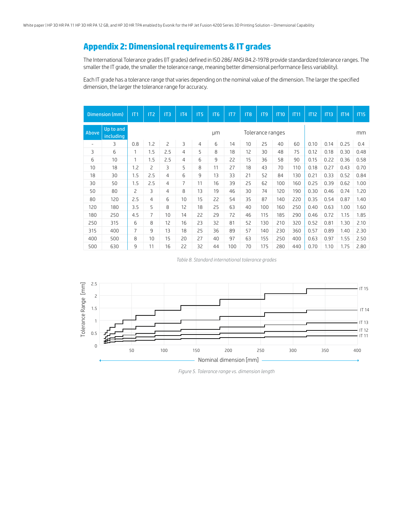## **Appendix 2: Dimensional requirements & IT grades**

The International Tolerance grades (IT grades) defined in ISO 286/ ANSI B4.2-1978 provide standardized tolerance ranges. The smaller the IT grade, the smaller the tolerance range, meaning better dimensional performance (less variability).

Each IT grade has a tolerance range that varies depending on the nominal value of the dimension. The larger the specified dimension, the larger the tolerance range for accuracy.

|                          | Dimension (mm)         | IT1            | IT <sub>2</sub> | IT3 | IT4 | IT <sub>5</sub> | IT <sub>6</sub> | IT7 | IT <sub>8</sub> | IT <sub>9</sub>  | <b>IT10</b> | <b>IT11</b> | <b>IT12</b> | <b>IT13</b> | IT14 | <b>IT15</b> |  |  |
|--------------------------|------------------------|----------------|-----------------|-----|-----|-----------------|-----------------|-----|-----------------|------------------|-------------|-------------|-------------|-------------|------|-------------|--|--|
| Above                    | Up to and<br>including |                |                 |     |     |                 | μm              |     |                 | Tolerance ranges |             |             | mm          |             |      |             |  |  |
| $\overline{\phantom{a}}$ | 3                      | 0.8            | 1.2             | 2   | 3   | $\overline{4}$  | 6               | 14  | 10              | 25               | 40          | 60          | 0.10        | 0.14        | 0.25 | 0.4         |  |  |
| 3                        | 6                      | 1              | 1.5             | 2.5 | 4   | 5               | 8               | 18  | 12              | 30               | 48          | 75          | 0.12        | 0.18        | 0.30 | 0.48        |  |  |
| 6                        | 10                     | 1              | 1.5             | 2.5 | 4   | 6               | 9               | 22  | 15              | 36               | 58          | 90          | 0.15        | 0.22        | 0.36 | 0.58        |  |  |
| 10                       | 18                     | 1.2            | 2               | 3   | 5   | 8               | 11              | 27  | 18              | 43               | 70          | 110         | 0.18        | 0.27        | 0.43 | 0.70        |  |  |
| 18                       | 30                     | 1.5            | 2.5             | 4   | 6   | 9               | 13              | 33  | 21              | 52               | 84          | 130         | 0.21        | 0.33        | 0.52 | 0.84        |  |  |
| 30                       | 50                     | 1.5            | 2.5             | 4   | 7   | 11              | 16              | 39  | 25              | 62               | 100         | 160         | 0.25        | 0.39        | 0.62 | 1.00        |  |  |
| 50                       | 80                     | $\overline{c}$ | 3               | 4   | 8   | 13              | 19              | 46  | 30              | 74               | 120         | 190         | 0.30        | 0.46        | 0.74 | 1.20        |  |  |
| 80                       | 120                    | 2.5            | $\overline{4}$  | 6   | 10  | 15              | 22              | 54  | 35              | 87               | 140         | 220         | 0.35        | 0.54        | 0.87 | 1.40        |  |  |
| 120                      | 180                    | 3.5            | 5               | 8   | 12  | 18              | 25              | 63  | 40              | 100              | 160         | 250         | 0.40        | 0.63        | 1.00 | 1.60        |  |  |
| 180                      | 250                    | 4.5            | 7               | 10  | 14  | 22              | 29              | 72  | 46              | 115              | 185         | 290         | 0.46        | 0.72        | 1.15 | 1.85        |  |  |
| 250                      | 315                    | 6              | 8               | 12  | 16  | 23              | 32              | 81  | 52              | 130              | 210         | 320         | 0.52        | 0.81        | 1.30 | 2.10        |  |  |
| 315                      | 400                    | 7              | 9               | 13  | 18  | 25              | 36              | 89  | 57              | 140              | 230         | 360         | 0.57        | 0.89        | 1.40 | 2.30        |  |  |
| 400                      | 500                    | 8              | 10              | 15  | 20  | 27              | 40              | 97  | 63              | 155              | 250         | 400         | 0.63        | 0.97        | 1.55 | 2.50        |  |  |
| 500                      | 630                    | 9              | 11              | 16  | 22  | 32              | 44              | 100 | 70              | 175              | 280         | 440         | 0.70        | 1.10        | 1.75 | 2.80        |  |  |

*Table 8. Standard international tolerance grades*



*Figure 5. Tolerance range vs. dimension length*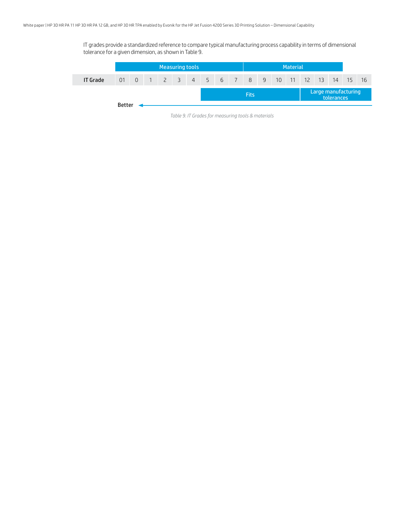IT grades provide a standardized reference to compare typical manufacturing process capability in terms of dimensional tolerance for a given dimension, as shown in Table 9.

|                 | Measuring tools |  |  |  |  |  |  |             |  | <b>Material</b>                    |  |  |  |  |                                   |       |    |     |
|-----------------|-----------------|--|--|--|--|--|--|-------------|--|------------------------------------|--|--|--|--|-----------------------------------|-------|----|-----|
| <b>IT Grade</b> |                 |  |  |  |  |  |  |             |  | 01 0 1 2 3 4 5 6 7 8 9 10 11 12 13 |  |  |  |  |                                   | $-14$ | 15 | -16 |
|                 |                 |  |  |  |  |  |  | <b>Fits</b> |  |                                    |  |  |  |  | Large manufacturing<br>tolerances |       |    |     |
|                 | <b>Better</b>   |  |  |  |  |  |  |             |  |                                    |  |  |  |  |                                   |       |    |     |

*Table 9. IT Grades for measuring tools & materials*